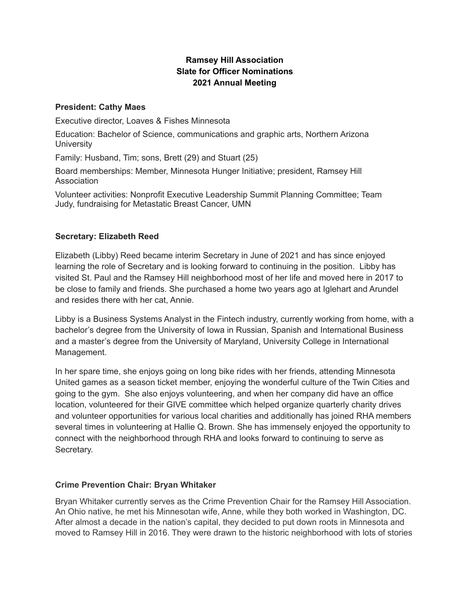# **Ramsey Hill Association Slate for Officer Nominations 2021 Annual Meeting**

### **President: Cathy Maes**

Executive director, Loaves & Fishes Minnesota

Education: Bachelor of Science, communications and graphic arts, Northern Arizona **University** 

Family: Husband, Tim; sons, Brett (29) and Stuart (25)

Board memberships: Member, Minnesota Hunger Initiative; president, Ramsey Hill Association

Volunteer activities: Nonprofit Executive Leadership Summit Planning Committee; Team Judy, fundraising for Metastatic Breast Cancer, UMN

# **Secretary: Elizabeth Reed**

Elizabeth (Libby) Reed became interim Secretary in June of 2021 and has since enjoyed learning the role of Secretary and is looking forward to continuing in the position. Libby has visited St. Paul and the Ramsey Hill neighborhood most of her life and moved here in 2017 to be close to family and friends. She purchased a home two years ago at Iglehart and Arundel and resides there with her cat, Annie.

Libby is a Business Systems Analyst in the Fintech industry, currently working from home, with a bachelor's degree from the University of Iowa in Russian, Spanish and International Business and a master's degree from the University of Maryland, University College in International Management.

In her spare time, she enjoys going on long bike rides with her friends, attending Minnesota United games as a season ticket member, enjoying the wonderful culture of the Twin Cities and going to the gym. She also enjoys volunteering, and when her company did have an office location, volunteered for their GIVE committee which helped organize quarterly charity drives and volunteer opportunities for various local charities and additionally has joined RHA members several times in volunteering at Hallie Q. Brown. She has immensely enjoyed the opportunity to connect with the neighborhood through RHA and looks forward to continuing to serve as Secretary.

### **Crime Prevention Chair: Bryan Whitaker**

Bryan Whitaker currently serves as the Crime Prevention Chair for the Ramsey Hill Association. An Ohio native, he met his Minnesotan wife, Anne, while they both worked in Washington, DC. After almost a decade in the nation's capital, they decided to put down roots in Minnesota and moved to Ramsey Hill in 2016. They were drawn to the historic neighborhood with lots of stories